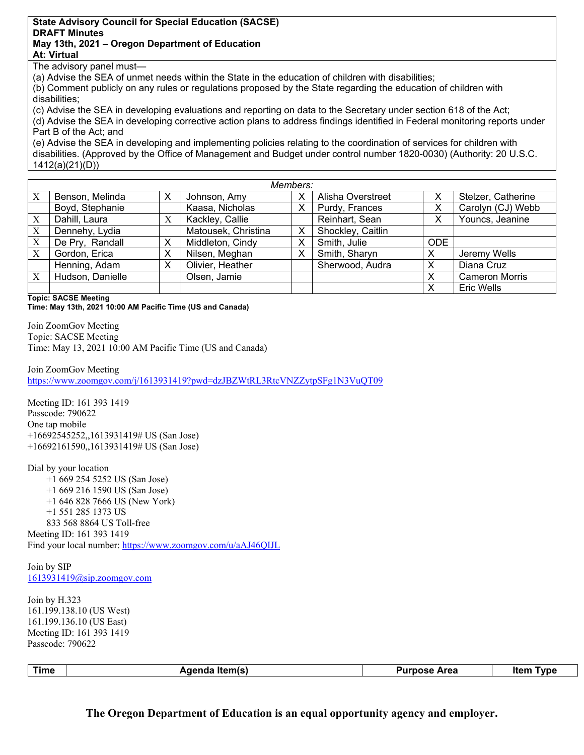## **State Advisory Council for Special Education (SACSE) DRAFT Minutes May 13th, 2021 – Oregon Department of Education At: Virtual**

The advisory panel must—

(a) Advise the SEA of unmet needs within the State in the education of children with disabilities;

(b) Comment publicly on any rules or regulations proposed by the State regarding the education of children with disabilities;

(c) Advise the SEA in developing evaluations and reporting on data to the Secretary under section 618 of the Act; (d) Advise the SEA in developing corrective action plans to address findings identified in Federal monitoring reports under Part B of the Act; and

(e) Advise the SEA in developing and implementing policies relating to the coordination of services for children with disabilities. (Approved by the Office of Management and Budget under control number 1820-0030) (Authority: 20 U.S.C. 1412(a)(21)(D))

| Members: |                  |   |                     |   |                   |            |                       |
|----------|------------------|---|---------------------|---|-------------------|------------|-----------------------|
| Χ        | Benson, Melinda  | X | Johnson, Amy        | х | Alisha Overstreet | х          | Stelzer, Catherine    |
|          | Boyd, Stephanie  |   | Kaasa, Nicholas     | Х | Purdy, Frances    | х          | Carolyn (CJ) Webb     |
| X        | Dahill, Laura    | X | Kackley, Callie     |   | Reinhart, Sean    |            | Youncs, Jeanine       |
| X        | Dennehy, Lydia   |   | Matousek, Christina | Х | Shockley, Caitlin |            |                       |
| X        | De Pry, Randall  | X | Middleton, Cindy    | Х | Smith, Julie      | <b>ODE</b> |                       |
| X        | Gordon, Erica    | х | Nilsen, Meghan      | х | Smith, Sharyn     |            | Jeremy Wells          |
|          | Henning, Adam    | X | Olivier, Heather    |   | Sherwood, Audra   |            | Diana Cruz            |
| X        | Hudson, Danielle |   | Olsen, Jamie        |   |                   |            | <b>Cameron Morris</b> |
|          |                  |   |                     |   |                   |            | <b>Eric Wells</b>     |

**Topic: SACSE Meeting**

**Time: May 13th, 2021 10:00 AM Pacific Time (US and Canada)** 

 Time: May 13, 2021 10:00 AM Pacific Time (US and Canada) Join ZoomGov Meeting Topic: SACSE Meeting

Join ZoomGov Meeting https://www.zoomgov.com/j/1613931419?pwd=dzJBZWtRL3RtcVNZZytpSFg1N3VuQT09

Meeting ID: 161 393 1419 Passcode: 790622 One tap mobile +16692545252,,1613931419# US (San Jose) +16692161590,,1613931419# US (San Jose)

Dial by your location +1 669 254 5252 US (San Jose) +1 669 216 1590 US (San Jose) +1 646 828 7666 US (New York) +1 551 285 1373 US 833 568 8864 US Toll-free Meeting ID: 161 393 1419 Find your local number: https://www.zoomgov.com/u/aAJ46QIJL

Join by SIP 1613931419@sip.zoomgov.com

Join by H.323 161.199.138.10 (US West) 161.199.136.10 (US East) Meeting ID: 161 393 1419 Passcode: 790622

Time **Agenda Item(s)** Agenda Item **Agenda Item Purpose Area** Item Type

**The Oregon Department of Education is an equal opportunity agency and employer.**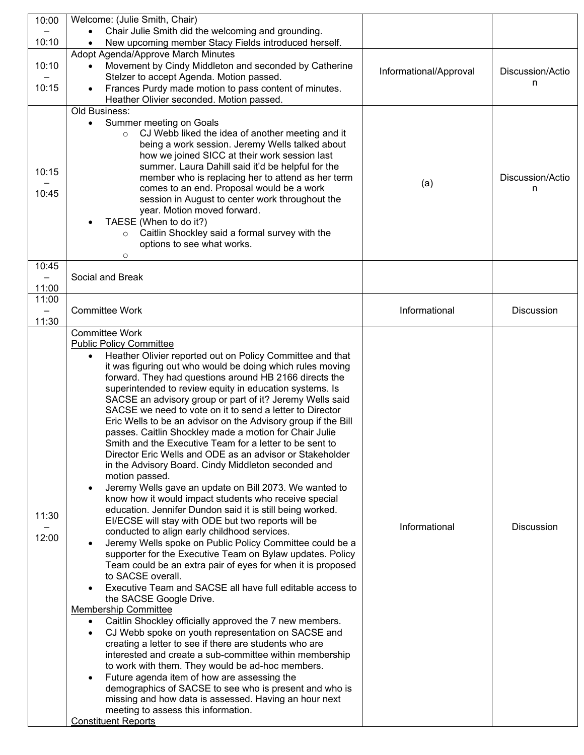| 10:00          | Welcome: (Julie Smith, Chair)                                                                                                                                                                                                                                |                        |                  |
|----------------|--------------------------------------------------------------------------------------------------------------------------------------------------------------------------------------------------------------------------------------------------------------|------------------------|------------------|
|                | Chair Julie Smith did the welcoming and grounding.                                                                                                                                                                                                           |                        |                  |
| 10:10          | New upcoming member Stacy Fields introduced herself.                                                                                                                                                                                                         |                        |                  |
| 10:10          | Adopt Agenda/Approve March Minutes<br>Movement by Cindy Middleton and seconded by Catherine<br>Stelzer to accept Agenda. Motion passed.                                                                                                                      | Informational/Approval | Discussion/Actio |
| 10:15          | Frances Purdy made motion to pass content of minutes.<br>$\bullet$<br>Heather Olivier seconded. Motion passed.                                                                                                                                               |                        | n                |
|                | Old Business:                                                                                                                                                                                                                                                |                        |                  |
| 10:15          | Summer meeting on Goals<br>$\bullet$<br>CJ Webb liked the idea of another meeting and it<br>$\circ$<br>being a work session. Jeremy Wells talked about<br>how we joined SICC at their work session last<br>summer. Laura Dahill said it'd be helpful for the |                        |                  |
|                | member who is replacing her to attend as her term                                                                                                                                                                                                            | (a)                    | Discussion/Actio |
| 10:45          | comes to an end. Proposal would be a work                                                                                                                                                                                                                    |                        | n                |
|                | session in August to center work throughout the<br>year. Motion moved forward.                                                                                                                                                                               |                        |                  |
|                | TAESE (When to do it?)                                                                                                                                                                                                                                       |                        |                  |
|                | Caitlin Shockley said a formal survey with the<br>$\circ$                                                                                                                                                                                                    |                        |                  |
|                | options to see what works.                                                                                                                                                                                                                                   |                        |                  |
|                | $\circ$                                                                                                                                                                                                                                                      |                        |                  |
| 10:45          |                                                                                                                                                                                                                                                              |                        |                  |
|                | Social and Break                                                                                                                                                                                                                                             |                        |                  |
| 11:00<br>11:00 |                                                                                                                                                                                                                                                              |                        |                  |
|                | <b>Committee Work</b>                                                                                                                                                                                                                                        | Informational          | Discussion       |
| 11:30          |                                                                                                                                                                                                                                                              |                        |                  |
|                | <b>Committee Work</b>                                                                                                                                                                                                                                        |                        |                  |
|                | <b>Public Policy Committee</b>                                                                                                                                                                                                                               |                        |                  |
|                | Heather Olivier reported out on Policy Committee and that<br>$\bullet$                                                                                                                                                                                       |                        |                  |
|                | it was figuring out who would be doing which rules moving                                                                                                                                                                                                    |                        |                  |
|                | forward. They had questions around HB 2166 directs the<br>superintended to review equity in education systems. Is                                                                                                                                            |                        |                  |
|                | SACSE an advisory group or part of it? Jeremy Wells said                                                                                                                                                                                                     |                        |                  |
|                | SACSE we need to vote on it to send a letter to Director                                                                                                                                                                                                     |                        |                  |
|                | Eric Wells to be an advisor on the Advisory group if the Bill                                                                                                                                                                                                |                        |                  |
|                | passes. Caitlin Shockley made a motion for Chair Julie                                                                                                                                                                                                       |                        |                  |
|                | Smith and the Executive Team for a letter to be sent to                                                                                                                                                                                                      |                        |                  |
|                | Director Eric Wells and ODE as an advisor or Stakeholder<br>in the Advisory Board. Cindy Middleton seconded and                                                                                                                                              |                        |                  |
|                | motion passed.                                                                                                                                                                                                                                               |                        |                  |
|                | Jeremy Wells gave an update on Bill 2073. We wanted to<br>$\bullet$                                                                                                                                                                                          |                        |                  |
|                | know how it would impact students who receive special                                                                                                                                                                                                        |                        |                  |
| 11:30          | education. Jennifer Dundon said it is still being worked.                                                                                                                                                                                                    |                        |                  |
|                | EI/ECSE will stay with ODE but two reports will be                                                                                                                                                                                                           | Informational          | Discussion       |
| 12:00          | conducted to align early childhood services.                                                                                                                                                                                                                 |                        |                  |
|                | Jeremy Wells spoke on Public Policy Committee could be a<br>supporter for the Executive Team on Bylaw updates. Policy                                                                                                                                        |                        |                  |
|                | Team could be an extra pair of eyes for when it is proposed                                                                                                                                                                                                  |                        |                  |
|                | to SACSE overall.                                                                                                                                                                                                                                            |                        |                  |
|                | Executive Team and SACSE all have full editable access to                                                                                                                                                                                                    |                        |                  |
|                | the SACSE Google Drive.                                                                                                                                                                                                                                      |                        |                  |
|                | <b>Membership Committee</b>                                                                                                                                                                                                                                  |                        |                  |
|                | Caitlin Shockley officially approved the 7 new members.<br>$\bullet$<br>CJ Webb spoke on youth representation on SACSE and<br>$\bullet$                                                                                                                      |                        |                  |
|                | creating a letter to see if there are students who are                                                                                                                                                                                                       |                        |                  |
|                | interested and create a sub-committee within membership                                                                                                                                                                                                      |                        |                  |
|                | to work with them. They would be ad-hoc members.                                                                                                                                                                                                             |                        |                  |
|                | Future agenda item of how are assessing the<br>$\bullet$                                                                                                                                                                                                     |                        |                  |
|                | demographics of SACSE to see who is present and who is                                                                                                                                                                                                       |                        |                  |
|                | missing and how data is assessed. Having an hour next                                                                                                                                                                                                        |                        |                  |
|                | meeting to assess this information.<br><b>Constituent Reports</b>                                                                                                                                                                                            |                        |                  |
|                |                                                                                                                                                                                                                                                              |                        |                  |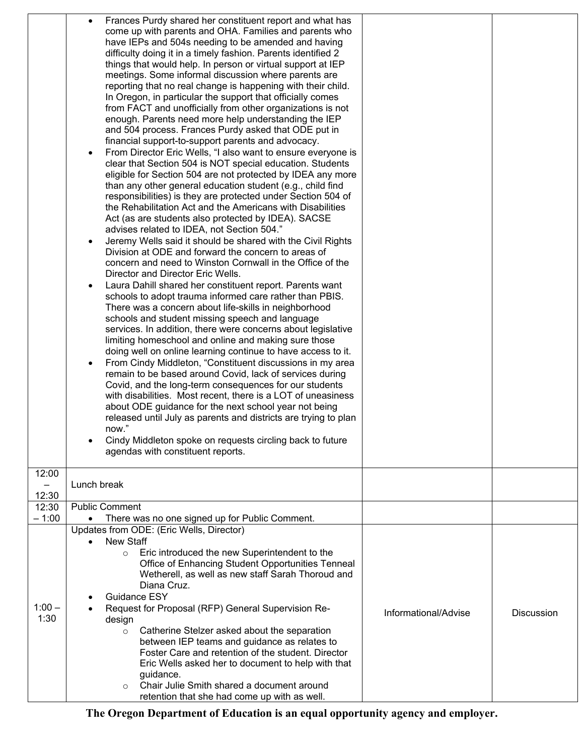| Frances Purdy shared her constituent report and what has<br>come up with parents and OHA. Families and parents who<br>have IEPs and 504s needing to be amended and having<br>difficulty doing it in a timely fashion. Parents identified 2<br>things that would help. In person or virtual support at IEP<br>meetings. Some informal discussion where parents are<br>reporting that no real change is happening with their child.<br>In Oregon, in particular the support that officially comes<br>from FACT and unofficially from other organizations is not<br>enough. Parents need more help understanding the IEP<br>and 504 process. Frances Purdy asked that ODE put in<br>financial support-to-support parents and advocacy.<br>From Director Eric Wells, "I also want to ensure everyone is<br>clear that Section 504 is NOT special education. Students<br>eligible for Section 504 are not protected by IDEA any more<br>than any other general education student (e.g., child find<br>responsibilities) is they are protected under Section 504 of<br>the Rehabilitation Act and the Americans with Disabilities<br>Act (as are students also protected by IDEA). SACSE<br>advises related to IDEA, not Section 504."<br>Jeremy Wells said it should be shared with the Civil Rights<br>Division at ODE and forward the concern to areas of<br>concern and need to Winston Cornwall in the Office of the<br>Director and Director Eric Wells.<br>Laura Dahill shared her constituent report. Parents want<br>schools to adopt trauma informed care rather than PBIS.<br>There was a concern about life-skills in neighborhood<br>schools and student missing speech and language<br>services. In addition, there were concerns about legislative<br>limiting homeschool and online and making sure those<br>doing well on online learning continue to have access to it.<br>From Cindy Middleton, "Constituent discussions in my area<br>remain to be based around Covid, lack of services during<br>Covid, and the long-term consequences for our students<br>with disabilities. Most recent, there is a LOT of uneasiness<br>about ODE guidance for the next school year not being<br>released until July as parents and districts are trying to plan<br>now."<br>Cindy Middleton spoke on requests circling back to future<br>agendas with constituent reports.<br>12:00<br>Lunch break<br>-<br>12:30<br><b>Public Comment</b><br>12:30<br>$-1:00$<br>There was no one signed up for Public Comment.<br>$\bullet$<br>Updates from ODE: (Eric Wells, Director)<br>New Staff<br>Eric introduced the new Superintendent to the<br>$\circ$<br>Office of Enhancing Student Opportunities Tenneal<br>Wetherell, as well as new staff Sarah Thoroud and<br>Diana Cruz.<br>Guidance ESY<br>$1:00 -$<br>Request for Proposal (RFP) General Supervision Re-<br>Informational/Advise<br><b>Discussion</b><br>1:30<br>design<br>Catherine Stelzer asked about the separation<br>$\circ$<br>between IEP teams and guidance as relates to<br>Foster Care and retention of the student. Director<br>Eric Wells asked her to document to help with that<br>guidance.<br>Chair Julie Smith shared a document around<br>$\circ$<br>retention that she had come up with as well. |  |  |
|-----------------------------------------------------------------------------------------------------------------------------------------------------------------------------------------------------------------------------------------------------------------------------------------------------------------------------------------------------------------------------------------------------------------------------------------------------------------------------------------------------------------------------------------------------------------------------------------------------------------------------------------------------------------------------------------------------------------------------------------------------------------------------------------------------------------------------------------------------------------------------------------------------------------------------------------------------------------------------------------------------------------------------------------------------------------------------------------------------------------------------------------------------------------------------------------------------------------------------------------------------------------------------------------------------------------------------------------------------------------------------------------------------------------------------------------------------------------------------------------------------------------------------------------------------------------------------------------------------------------------------------------------------------------------------------------------------------------------------------------------------------------------------------------------------------------------------------------------------------------------------------------------------------------------------------------------------------------------------------------------------------------------------------------------------------------------------------------------------------------------------------------------------------------------------------------------------------------------------------------------------------------------------------------------------------------------------------------------------------------------------------------------------------------------------------------------------------------------------------------------------------------------------------------------------------------------------------------------------------------------------------------------------------------------------------------------------------------------------------------------------------------------------------------------------------------------------------------------------------------------------------------------------------------------------------------------------------------------------------------------------------------------------------------------------------------------------------------------------------------------------------------------------------------------------------------------------------------------------------------------------------------------------|--|--|
|                                                                                                                                                                                                                                                                                                                                                                                                                                                                                                                                                                                                                                                                                                                                                                                                                                                                                                                                                                                                                                                                                                                                                                                                                                                                                                                                                                                                                                                                                                                                                                                                                                                                                                                                                                                                                                                                                                                                                                                                                                                                                                                                                                                                                                                                                                                                                                                                                                                                                                                                                                                                                                                                                                                                                                                                                                                                                                                                                                                                                                                                                                                                                                                                                                                                             |  |  |
|                                                                                                                                                                                                                                                                                                                                                                                                                                                                                                                                                                                                                                                                                                                                                                                                                                                                                                                                                                                                                                                                                                                                                                                                                                                                                                                                                                                                                                                                                                                                                                                                                                                                                                                                                                                                                                                                                                                                                                                                                                                                                                                                                                                                                                                                                                                                                                                                                                                                                                                                                                                                                                                                                                                                                                                                                                                                                                                                                                                                                                                                                                                                                                                                                                                                             |  |  |
|                                                                                                                                                                                                                                                                                                                                                                                                                                                                                                                                                                                                                                                                                                                                                                                                                                                                                                                                                                                                                                                                                                                                                                                                                                                                                                                                                                                                                                                                                                                                                                                                                                                                                                                                                                                                                                                                                                                                                                                                                                                                                                                                                                                                                                                                                                                                                                                                                                                                                                                                                                                                                                                                                                                                                                                                                                                                                                                                                                                                                                                                                                                                                                                                                                                                             |  |  |
|                                                                                                                                                                                                                                                                                                                                                                                                                                                                                                                                                                                                                                                                                                                                                                                                                                                                                                                                                                                                                                                                                                                                                                                                                                                                                                                                                                                                                                                                                                                                                                                                                                                                                                                                                                                                                                                                                                                                                                                                                                                                                                                                                                                                                                                                                                                                                                                                                                                                                                                                                                                                                                                                                                                                                                                                                                                                                                                                                                                                                                                                                                                                                                                                                                                                             |  |  |
|                                                                                                                                                                                                                                                                                                                                                                                                                                                                                                                                                                                                                                                                                                                                                                                                                                                                                                                                                                                                                                                                                                                                                                                                                                                                                                                                                                                                                                                                                                                                                                                                                                                                                                                                                                                                                                                                                                                                                                                                                                                                                                                                                                                                                                                                                                                                                                                                                                                                                                                                                                                                                                                                                                                                                                                                                                                                                                                                                                                                                                                                                                                                                                                                                                                                             |  |  |
|                                                                                                                                                                                                                                                                                                                                                                                                                                                                                                                                                                                                                                                                                                                                                                                                                                                                                                                                                                                                                                                                                                                                                                                                                                                                                                                                                                                                                                                                                                                                                                                                                                                                                                                                                                                                                                                                                                                                                                                                                                                                                                                                                                                                                                                                                                                                                                                                                                                                                                                                                                                                                                                                                                                                                                                                                                                                                                                                                                                                                                                                                                                                                                                                                                                                             |  |  |
|                                                                                                                                                                                                                                                                                                                                                                                                                                                                                                                                                                                                                                                                                                                                                                                                                                                                                                                                                                                                                                                                                                                                                                                                                                                                                                                                                                                                                                                                                                                                                                                                                                                                                                                                                                                                                                                                                                                                                                                                                                                                                                                                                                                                                                                                                                                                                                                                                                                                                                                                                                                                                                                                                                                                                                                                                                                                                                                                                                                                                                                                                                                                                                                                                                                                             |  |  |
|                                                                                                                                                                                                                                                                                                                                                                                                                                                                                                                                                                                                                                                                                                                                                                                                                                                                                                                                                                                                                                                                                                                                                                                                                                                                                                                                                                                                                                                                                                                                                                                                                                                                                                                                                                                                                                                                                                                                                                                                                                                                                                                                                                                                                                                                                                                                                                                                                                                                                                                                                                                                                                                                                                                                                                                                                                                                                                                                                                                                                                                                                                                                                                                                                                                                             |  |  |
|                                                                                                                                                                                                                                                                                                                                                                                                                                                                                                                                                                                                                                                                                                                                                                                                                                                                                                                                                                                                                                                                                                                                                                                                                                                                                                                                                                                                                                                                                                                                                                                                                                                                                                                                                                                                                                                                                                                                                                                                                                                                                                                                                                                                                                                                                                                                                                                                                                                                                                                                                                                                                                                                                                                                                                                                                                                                                                                                                                                                                                                                                                                                                                                                                                                                             |  |  |
|                                                                                                                                                                                                                                                                                                                                                                                                                                                                                                                                                                                                                                                                                                                                                                                                                                                                                                                                                                                                                                                                                                                                                                                                                                                                                                                                                                                                                                                                                                                                                                                                                                                                                                                                                                                                                                                                                                                                                                                                                                                                                                                                                                                                                                                                                                                                                                                                                                                                                                                                                                                                                                                                                                                                                                                                                                                                                                                                                                                                                                                                                                                                                                                                                                                                             |  |  |
|                                                                                                                                                                                                                                                                                                                                                                                                                                                                                                                                                                                                                                                                                                                                                                                                                                                                                                                                                                                                                                                                                                                                                                                                                                                                                                                                                                                                                                                                                                                                                                                                                                                                                                                                                                                                                                                                                                                                                                                                                                                                                                                                                                                                                                                                                                                                                                                                                                                                                                                                                                                                                                                                                                                                                                                                                                                                                                                                                                                                                                                                                                                                                                                                                                                                             |  |  |
|                                                                                                                                                                                                                                                                                                                                                                                                                                                                                                                                                                                                                                                                                                                                                                                                                                                                                                                                                                                                                                                                                                                                                                                                                                                                                                                                                                                                                                                                                                                                                                                                                                                                                                                                                                                                                                                                                                                                                                                                                                                                                                                                                                                                                                                                                                                                                                                                                                                                                                                                                                                                                                                                                                                                                                                                                                                                                                                                                                                                                                                                                                                                                                                                                                                                             |  |  |
|                                                                                                                                                                                                                                                                                                                                                                                                                                                                                                                                                                                                                                                                                                                                                                                                                                                                                                                                                                                                                                                                                                                                                                                                                                                                                                                                                                                                                                                                                                                                                                                                                                                                                                                                                                                                                                                                                                                                                                                                                                                                                                                                                                                                                                                                                                                                                                                                                                                                                                                                                                                                                                                                                                                                                                                                                                                                                                                                                                                                                                                                                                                                                                                                                                                                             |  |  |
|                                                                                                                                                                                                                                                                                                                                                                                                                                                                                                                                                                                                                                                                                                                                                                                                                                                                                                                                                                                                                                                                                                                                                                                                                                                                                                                                                                                                                                                                                                                                                                                                                                                                                                                                                                                                                                                                                                                                                                                                                                                                                                                                                                                                                                                                                                                                                                                                                                                                                                                                                                                                                                                                                                                                                                                                                                                                                                                                                                                                                                                                                                                                                                                                                                                                             |  |  |
|                                                                                                                                                                                                                                                                                                                                                                                                                                                                                                                                                                                                                                                                                                                                                                                                                                                                                                                                                                                                                                                                                                                                                                                                                                                                                                                                                                                                                                                                                                                                                                                                                                                                                                                                                                                                                                                                                                                                                                                                                                                                                                                                                                                                                                                                                                                                                                                                                                                                                                                                                                                                                                                                                                                                                                                                                                                                                                                                                                                                                                                                                                                                                                                                                                                                             |  |  |
|                                                                                                                                                                                                                                                                                                                                                                                                                                                                                                                                                                                                                                                                                                                                                                                                                                                                                                                                                                                                                                                                                                                                                                                                                                                                                                                                                                                                                                                                                                                                                                                                                                                                                                                                                                                                                                                                                                                                                                                                                                                                                                                                                                                                                                                                                                                                                                                                                                                                                                                                                                                                                                                                                                                                                                                                                                                                                                                                                                                                                                                                                                                                                                                                                                                                             |  |  |
|                                                                                                                                                                                                                                                                                                                                                                                                                                                                                                                                                                                                                                                                                                                                                                                                                                                                                                                                                                                                                                                                                                                                                                                                                                                                                                                                                                                                                                                                                                                                                                                                                                                                                                                                                                                                                                                                                                                                                                                                                                                                                                                                                                                                                                                                                                                                                                                                                                                                                                                                                                                                                                                                                                                                                                                                                                                                                                                                                                                                                                                                                                                                                                                                                                                                             |  |  |
|                                                                                                                                                                                                                                                                                                                                                                                                                                                                                                                                                                                                                                                                                                                                                                                                                                                                                                                                                                                                                                                                                                                                                                                                                                                                                                                                                                                                                                                                                                                                                                                                                                                                                                                                                                                                                                                                                                                                                                                                                                                                                                                                                                                                                                                                                                                                                                                                                                                                                                                                                                                                                                                                                                                                                                                                                                                                                                                                                                                                                                                                                                                                                                                                                                                                             |  |  |
|                                                                                                                                                                                                                                                                                                                                                                                                                                                                                                                                                                                                                                                                                                                                                                                                                                                                                                                                                                                                                                                                                                                                                                                                                                                                                                                                                                                                                                                                                                                                                                                                                                                                                                                                                                                                                                                                                                                                                                                                                                                                                                                                                                                                                                                                                                                                                                                                                                                                                                                                                                                                                                                                                                                                                                                                                                                                                                                                                                                                                                                                                                                                                                                                                                                                             |  |  |
|                                                                                                                                                                                                                                                                                                                                                                                                                                                                                                                                                                                                                                                                                                                                                                                                                                                                                                                                                                                                                                                                                                                                                                                                                                                                                                                                                                                                                                                                                                                                                                                                                                                                                                                                                                                                                                                                                                                                                                                                                                                                                                                                                                                                                                                                                                                                                                                                                                                                                                                                                                                                                                                                                                                                                                                                                                                                                                                                                                                                                                                                                                                                                                                                                                                                             |  |  |
|                                                                                                                                                                                                                                                                                                                                                                                                                                                                                                                                                                                                                                                                                                                                                                                                                                                                                                                                                                                                                                                                                                                                                                                                                                                                                                                                                                                                                                                                                                                                                                                                                                                                                                                                                                                                                                                                                                                                                                                                                                                                                                                                                                                                                                                                                                                                                                                                                                                                                                                                                                                                                                                                                                                                                                                                                                                                                                                                                                                                                                                                                                                                                                                                                                                                             |  |  |
|                                                                                                                                                                                                                                                                                                                                                                                                                                                                                                                                                                                                                                                                                                                                                                                                                                                                                                                                                                                                                                                                                                                                                                                                                                                                                                                                                                                                                                                                                                                                                                                                                                                                                                                                                                                                                                                                                                                                                                                                                                                                                                                                                                                                                                                                                                                                                                                                                                                                                                                                                                                                                                                                                                                                                                                                                                                                                                                                                                                                                                                                                                                                                                                                                                                                             |  |  |
|                                                                                                                                                                                                                                                                                                                                                                                                                                                                                                                                                                                                                                                                                                                                                                                                                                                                                                                                                                                                                                                                                                                                                                                                                                                                                                                                                                                                                                                                                                                                                                                                                                                                                                                                                                                                                                                                                                                                                                                                                                                                                                                                                                                                                                                                                                                                                                                                                                                                                                                                                                                                                                                                                                                                                                                                                                                                                                                                                                                                                                                                                                                                                                                                                                                                             |  |  |
|                                                                                                                                                                                                                                                                                                                                                                                                                                                                                                                                                                                                                                                                                                                                                                                                                                                                                                                                                                                                                                                                                                                                                                                                                                                                                                                                                                                                                                                                                                                                                                                                                                                                                                                                                                                                                                                                                                                                                                                                                                                                                                                                                                                                                                                                                                                                                                                                                                                                                                                                                                                                                                                                                                                                                                                                                                                                                                                                                                                                                                                                                                                                                                                                                                                                             |  |  |
|                                                                                                                                                                                                                                                                                                                                                                                                                                                                                                                                                                                                                                                                                                                                                                                                                                                                                                                                                                                                                                                                                                                                                                                                                                                                                                                                                                                                                                                                                                                                                                                                                                                                                                                                                                                                                                                                                                                                                                                                                                                                                                                                                                                                                                                                                                                                                                                                                                                                                                                                                                                                                                                                                                                                                                                                                                                                                                                                                                                                                                                                                                                                                                                                                                                                             |  |  |
|                                                                                                                                                                                                                                                                                                                                                                                                                                                                                                                                                                                                                                                                                                                                                                                                                                                                                                                                                                                                                                                                                                                                                                                                                                                                                                                                                                                                                                                                                                                                                                                                                                                                                                                                                                                                                                                                                                                                                                                                                                                                                                                                                                                                                                                                                                                                                                                                                                                                                                                                                                                                                                                                                                                                                                                                                                                                                                                                                                                                                                                                                                                                                                                                                                                                             |  |  |
|                                                                                                                                                                                                                                                                                                                                                                                                                                                                                                                                                                                                                                                                                                                                                                                                                                                                                                                                                                                                                                                                                                                                                                                                                                                                                                                                                                                                                                                                                                                                                                                                                                                                                                                                                                                                                                                                                                                                                                                                                                                                                                                                                                                                                                                                                                                                                                                                                                                                                                                                                                                                                                                                                                                                                                                                                                                                                                                                                                                                                                                                                                                                                                                                                                                                             |  |  |
|                                                                                                                                                                                                                                                                                                                                                                                                                                                                                                                                                                                                                                                                                                                                                                                                                                                                                                                                                                                                                                                                                                                                                                                                                                                                                                                                                                                                                                                                                                                                                                                                                                                                                                                                                                                                                                                                                                                                                                                                                                                                                                                                                                                                                                                                                                                                                                                                                                                                                                                                                                                                                                                                                                                                                                                                                                                                                                                                                                                                                                                                                                                                                                                                                                                                             |  |  |
|                                                                                                                                                                                                                                                                                                                                                                                                                                                                                                                                                                                                                                                                                                                                                                                                                                                                                                                                                                                                                                                                                                                                                                                                                                                                                                                                                                                                                                                                                                                                                                                                                                                                                                                                                                                                                                                                                                                                                                                                                                                                                                                                                                                                                                                                                                                                                                                                                                                                                                                                                                                                                                                                                                                                                                                                                                                                                                                                                                                                                                                                                                                                                                                                                                                                             |  |  |
|                                                                                                                                                                                                                                                                                                                                                                                                                                                                                                                                                                                                                                                                                                                                                                                                                                                                                                                                                                                                                                                                                                                                                                                                                                                                                                                                                                                                                                                                                                                                                                                                                                                                                                                                                                                                                                                                                                                                                                                                                                                                                                                                                                                                                                                                                                                                                                                                                                                                                                                                                                                                                                                                                                                                                                                                                                                                                                                                                                                                                                                                                                                                                                                                                                                                             |  |  |
|                                                                                                                                                                                                                                                                                                                                                                                                                                                                                                                                                                                                                                                                                                                                                                                                                                                                                                                                                                                                                                                                                                                                                                                                                                                                                                                                                                                                                                                                                                                                                                                                                                                                                                                                                                                                                                                                                                                                                                                                                                                                                                                                                                                                                                                                                                                                                                                                                                                                                                                                                                                                                                                                                                                                                                                                                                                                                                                                                                                                                                                                                                                                                                                                                                                                             |  |  |
|                                                                                                                                                                                                                                                                                                                                                                                                                                                                                                                                                                                                                                                                                                                                                                                                                                                                                                                                                                                                                                                                                                                                                                                                                                                                                                                                                                                                                                                                                                                                                                                                                                                                                                                                                                                                                                                                                                                                                                                                                                                                                                                                                                                                                                                                                                                                                                                                                                                                                                                                                                                                                                                                                                                                                                                                                                                                                                                                                                                                                                                                                                                                                                                                                                                                             |  |  |
|                                                                                                                                                                                                                                                                                                                                                                                                                                                                                                                                                                                                                                                                                                                                                                                                                                                                                                                                                                                                                                                                                                                                                                                                                                                                                                                                                                                                                                                                                                                                                                                                                                                                                                                                                                                                                                                                                                                                                                                                                                                                                                                                                                                                                                                                                                                                                                                                                                                                                                                                                                                                                                                                                                                                                                                                                                                                                                                                                                                                                                                                                                                                                                                                                                                                             |  |  |
|                                                                                                                                                                                                                                                                                                                                                                                                                                                                                                                                                                                                                                                                                                                                                                                                                                                                                                                                                                                                                                                                                                                                                                                                                                                                                                                                                                                                                                                                                                                                                                                                                                                                                                                                                                                                                                                                                                                                                                                                                                                                                                                                                                                                                                                                                                                                                                                                                                                                                                                                                                                                                                                                                                                                                                                                                                                                                                                                                                                                                                                                                                                                                                                                                                                                             |  |  |
|                                                                                                                                                                                                                                                                                                                                                                                                                                                                                                                                                                                                                                                                                                                                                                                                                                                                                                                                                                                                                                                                                                                                                                                                                                                                                                                                                                                                                                                                                                                                                                                                                                                                                                                                                                                                                                                                                                                                                                                                                                                                                                                                                                                                                                                                                                                                                                                                                                                                                                                                                                                                                                                                                                                                                                                                                                                                                                                                                                                                                                                                                                                                                                                                                                                                             |  |  |
|                                                                                                                                                                                                                                                                                                                                                                                                                                                                                                                                                                                                                                                                                                                                                                                                                                                                                                                                                                                                                                                                                                                                                                                                                                                                                                                                                                                                                                                                                                                                                                                                                                                                                                                                                                                                                                                                                                                                                                                                                                                                                                                                                                                                                                                                                                                                                                                                                                                                                                                                                                                                                                                                                                                                                                                                                                                                                                                                                                                                                                                                                                                                                                                                                                                                             |  |  |
|                                                                                                                                                                                                                                                                                                                                                                                                                                                                                                                                                                                                                                                                                                                                                                                                                                                                                                                                                                                                                                                                                                                                                                                                                                                                                                                                                                                                                                                                                                                                                                                                                                                                                                                                                                                                                                                                                                                                                                                                                                                                                                                                                                                                                                                                                                                                                                                                                                                                                                                                                                                                                                                                                                                                                                                                                                                                                                                                                                                                                                                                                                                                                                                                                                                                             |  |  |
|                                                                                                                                                                                                                                                                                                                                                                                                                                                                                                                                                                                                                                                                                                                                                                                                                                                                                                                                                                                                                                                                                                                                                                                                                                                                                                                                                                                                                                                                                                                                                                                                                                                                                                                                                                                                                                                                                                                                                                                                                                                                                                                                                                                                                                                                                                                                                                                                                                                                                                                                                                                                                                                                                                                                                                                                                                                                                                                                                                                                                                                                                                                                                                                                                                                                             |  |  |
|                                                                                                                                                                                                                                                                                                                                                                                                                                                                                                                                                                                                                                                                                                                                                                                                                                                                                                                                                                                                                                                                                                                                                                                                                                                                                                                                                                                                                                                                                                                                                                                                                                                                                                                                                                                                                                                                                                                                                                                                                                                                                                                                                                                                                                                                                                                                                                                                                                                                                                                                                                                                                                                                                                                                                                                                                                                                                                                                                                                                                                                                                                                                                                                                                                                                             |  |  |
|                                                                                                                                                                                                                                                                                                                                                                                                                                                                                                                                                                                                                                                                                                                                                                                                                                                                                                                                                                                                                                                                                                                                                                                                                                                                                                                                                                                                                                                                                                                                                                                                                                                                                                                                                                                                                                                                                                                                                                                                                                                                                                                                                                                                                                                                                                                                                                                                                                                                                                                                                                                                                                                                                                                                                                                                                                                                                                                                                                                                                                                                                                                                                                                                                                                                             |  |  |
|                                                                                                                                                                                                                                                                                                                                                                                                                                                                                                                                                                                                                                                                                                                                                                                                                                                                                                                                                                                                                                                                                                                                                                                                                                                                                                                                                                                                                                                                                                                                                                                                                                                                                                                                                                                                                                                                                                                                                                                                                                                                                                                                                                                                                                                                                                                                                                                                                                                                                                                                                                                                                                                                                                                                                                                                                                                                                                                                                                                                                                                                                                                                                                                                                                                                             |  |  |
|                                                                                                                                                                                                                                                                                                                                                                                                                                                                                                                                                                                                                                                                                                                                                                                                                                                                                                                                                                                                                                                                                                                                                                                                                                                                                                                                                                                                                                                                                                                                                                                                                                                                                                                                                                                                                                                                                                                                                                                                                                                                                                                                                                                                                                                                                                                                                                                                                                                                                                                                                                                                                                                                                                                                                                                                                                                                                                                                                                                                                                                                                                                                                                                                                                                                             |  |  |
|                                                                                                                                                                                                                                                                                                                                                                                                                                                                                                                                                                                                                                                                                                                                                                                                                                                                                                                                                                                                                                                                                                                                                                                                                                                                                                                                                                                                                                                                                                                                                                                                                                                                                                                                                                                                                                                                                                                                                                                                                                                                                                                                                                                                                                                                                                                                                                                                                                                                                                                                                                                                                                                                                                                                                                                                                                                                                                                                                                                                                                                                                                                                                                                                                                                                             |  |  |
|                                                                                                                                                                                                                                                                                                                                                                                                                                                                                                                                                                                                                                                                                                                                                                                                                                                                                                                                                                                                                                                                                                                                                                                                                                                                                                                                                                                                                                                                                                                                                                                                                                                                                                                                                                                                                                                                                                                                                                                                                                                                                                                                                                                                                                                                                                                                                                                                                                                                                                                                                                                                                                                                                                                                                                                                                                                                                                                                                                                                                                                                                                                                                                                                                                                                             |  |  |
|                                                                                                                                                                                                                                                                                                                                                                                                                                                                                                                                                                                                                                                                                                                                                                                                                                                                                                                                                                                                                                                                                                                                                                                                                                                                                                                                                                                                                                                                                                                                                                                                                                                                                                                                                                                                                                                                                                                                                                                                                                                                                                                                                                                                                                                                                                                                                                                                                                                                                                                                                                                                                                                                                                                                                                                                                                                                                                                                                                                                                                                                                                                                                                                                                                                                             |  |  |
|                                                                                                                                                                                                                                                                                                                                                                                                                                                                                                                                                                                                                                                                                                                                                                                                                                                                                                                                                                                                                                                                                                                                                                                                                                                                                                                                                                                                                                                                                                                                                                                                                                                                                                                                                                                                                                                                                                                                                                                                                                                                                                                                                                                                                                                                                                                                                                                                                                                                                                                                                                                                                                                                                                                                                                                                                                                                                                                                                                                                                                                                                                                                                                                                                                                                             |  |  |
|                                                                                                                                                                                                                                                                                                                                                                                                                                                                                                                                                                                                                                                                                                                                                                                                                                                                                                                                                                                                                                                                                                                                                                                                                                                                                                                                                                                                                                                                                                                                                                                                                                                                                                                                                                                                                                                                                                                                                                                                                                                                                                                                                                                                                                                                                                                                                                                                                                                                                                                                                                                                                                                                                                                                                                                                                                                                                                                                                                                                                                                                                                                                                                                                                                                                             |  |  |
|                                                                                                                                                                                                                                                                                                                                                                                                                                                                                                                                                                                                                                                                                                                                                                                                                                                                                                                                                                                                                                                                                                                                                                                                                                                                                                                                                                                                                                                                                                                                                                                                                                                                                                                                                                                                                                                                                                                                                                                                                                                                                                                                                                                                                                                                                                                                                                                                                                                                                                                                                                                                                                                                                                                                                                                                                                                                                                                                                                                                                                                                                                                                                                                                                                                                             |  |  |
|                                                                                                                                                                                                                                                                                                                                                                                                                                                                                                                                                                                                                                                                                                                                                                                                                                                                                                                                                                                                                                                                                                                                                                                                                                                                                                                                                                                                                                                                                                                                                                                                                                                                                                                                                                                                                                                                                                                                                                                                                                                                                                                                                                                                                                                                                                                                                                                                                                                                                                                                                                                                                                                                                                                                                                                                                                                                                                                                                                                                                                                                                                                                                                                                                                                                             |  |  |
|                                                                                                                                                                                                                                                                                                                                                                                                                                                                                                                                                                                                                                                                                                                                                                                                                                                                                                                                                                                                                                                                                                                                                                                                                                                                                                                                                                                                                                                                                                                                                                                                                                                                                                                                                                                                                                                                                                                                                                                                                                                                                                                                                                                                                                                                                                                                                                                                                                                                                                                                                                                                                                                                                                                                                                                                                                                                                                                                                                                                                                                                                                                                                                                                                                                                             |  |  |
|                                                                                                                                                                                                                                                                                                                                                                                                                                                                                                                                                                                                                                                                                                                                                                                                                                                                                                                                                                                                                                                                                                                                                                                                                                                                                                                                                                                                                                                                                                                                                                                                                                                                                                                                                                                                                                                                                                                                                                                                                                                                                                                                                                                                                                                                                                                                                                                                                                                                                                                                                                                                                                                                                                                                                                                                                                                                                                                                                                                                                                                                                                                                                                                                                                                                             |  |  |
|                                                                                                                                                                                                                                                                                                                                                                                                                                                                                                                                                                                                                                                                                                                                                                                                                                                                                                                                                                                                                                                                                                                                                                                                                                                                                                                                                                                                                                                                                                                                                                                                                                                                                                                                                                                                                                                                                                                                                                                                                                                                                                                                                                                                                                                                                                                                                                                                                                                                                                                                                                                                                                                                                                                                                                                                                                                                                                                                                                                                                                                                                                                                                                                                                                                                             |  |  |
|                                                                                                                                                                                                                                                                                                                                                                                                                                                                                                                                                                                                                                                                                                                                                                                                                                                                                                                                                                                                                                                                                                                                                                                                                                                                                                                                                                                                                                                                                                                                                                                                                                                                                                                                                                                                                                                                                                                                                                                                                                                                                                                                                                                                                                                                                                                                                                                                                                                                                                                                                                                                                                                                                                                                                                                                                                                                                                                                                                                                                                                                                                                                                                                                                                                                             |  |  |
|                                                                                                                                                                                                                                                                                                                                                                                                                                                                                                                                                                                                                                                                                                                                                                                                                                                                                                                                                                                                                                                                                                                                                                                                                                                                                                                                                                                                                                                                                                                                                                                                                                                                                                                                                                                                                                                                                                                                                                                                                                                                                                                                                                                                                                                                                                                                                                                                                                                                                                                                                                                                                                                                                                                                                                                                                                                                                                                                                                                                                                                                                                                                                                                                                                                                             |  |  |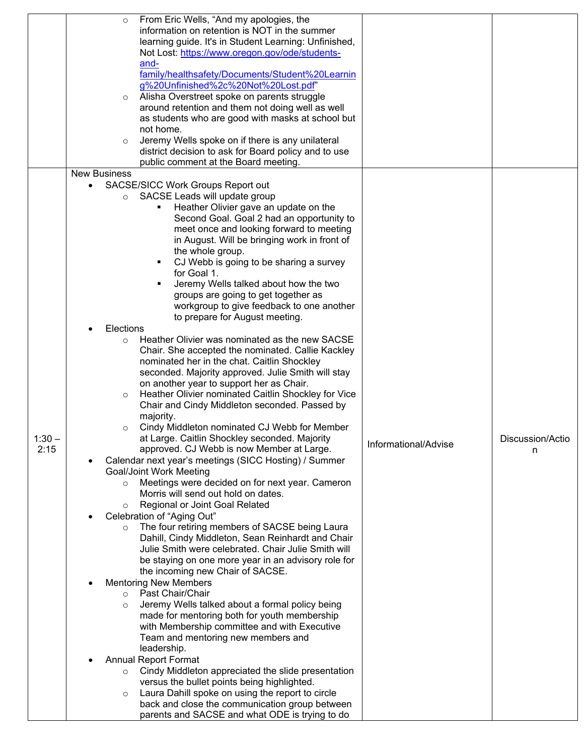|          | From Eric Wells, "And my apologies, the<br>$\circ$             |                      |                  |
|----------|----------------------------------------------------------------|----------------------|------------------|
|          | information on retention is NOT in the summer                  |                      |                  |
|          | learning guide. It's in Student Learning: Unfinished,          |                      |                  |
|          | Not Lost: https://www.oregon.gov/ode/students-                 |                      |                  |
|          | and-                                                           |                      |                  |
|          | family/healthsafety/Documents/Student%20Learnin                |                      |                  |
|          | g%20Unfinished%2c%20Not%20Lost.pdf"                            |                      |                  |
|          | Alisha Overstreet spoke on parents struggle                    |                      |                  |
|          | $\circ$                                                        |                      |                  |
|          | around retention and them not doing well as well               |                      |                  |
|          | as students who are good with masks at school but              |                      |                  |
|          | not home.                                                      |                      |                  |
|          | Jeremy Wells spoke on if there is any unilateral<br>$\circ$    |                      |                  |
|          | district decision to ask for Board policy and to use           |                      |                  |
|          | public comment at the Board meeting.                           |                      |                  |
|          | <b>New Business</b>                                            |                      |                  |
|          | SACSE/SICC Work Groups Report out                              |                      |                  |
|          | SACSE Leads will update group                                  |                      |                  |
|          | Heather Olivier gave an update on the                          |                      |                  |
|          | Second Goal. Goal 2 had an opportunity to                      |                      |                  |
|          | meet once and looking forward to meeting                       |                      |                  |
|          |                                                                |                      |                  |
|          | in August. Will be bringing work in front of                   |                      |                  |
|          | the whole group.                                               |                      |                  |
|          | CJ Webb is going to be sharing a survey                        |                      |                  |
|          | for Goal 1.                                                    |                      |                  |
|          | Jeremy Wells talked about how the two                          |                      |                  |
|          | groups are going to get together as                            |                      |                  |
|          | workgroup to give feedback to one another                      |                      |                  |
|          | to prepare for August meeting.                                 |                      |                  |
|          | Elections                                                      |                      |                  |
|          | Heather Olivier was nominated as the new SACSE<br>$\circ$      |                      |                  |
|          |                                                                |                      |                  |
|          | Chair. She accepted the nominated. Callie Kackley              |                      |                  |
|          | nominated her in the chat. Caitlin Shockley                    |                      |                  |
|          | seconded. Majority approved. Julie Smith will stay             |                      |                  |
|          | on another year to support her as Chair.                       |                      |                  |
|          | Heather Olivier nominated Caitlin Shockley for Vice<br>$\circ$ |                      |                  |
|          | Chair and Cindy Middleton seconded. Passed by                  |                      |                  |
|          | majority.                                                      |                      |                  |
|          | Cindy Middleton nominated CJ Webb for Member<br>$\circ$        |                      |                  |
| $1:30 -$ | at Large. Caitlin Shockley seconded. Majority                  |                      | Discussion/Actio |
| 2:15     | approved. CJ Webb is now Member at Large.                      | Informational/Advise | n                |
|          | Calendar next year's meetings (SICC Hosting) / Summer          |                      |                  |
|          | <b>Goal/Joint Work Meeting</b>                                 |                      |                  |
|          |                                                                |                      |                  |
|          | Meetings were decided on for next year. Cameron<br>$\circ$     |                      |                  |
|          | Morris will send out hold on dates.                            |                      |                  |
|          | Regional or Joint Goal Related<br>$\circ$                      |                      |                  |
|          | Celebration of "Aging Out"                                     |                      |                  |
|          | The four retiring members of SACSE being Laura                 |                      |                  |
|          | Dahill, Cindy Middleton, Sean Reinhardt and Chair              |                      |                  |
|          | Julie Smith were celebrated. Chair Julie Smith will            |                      |                  |
|          | be staying on one more year in an advisory role for            |                      |                  |
|          | the incoming new Chair of SACSE.                               |                      |                  |
|          | <b>Mentoring New Members</b>                                   |                      |                  |
|          | o Past Chair/Chair                                             |                      |                  |
|          | Jeremy Wells talked about a formal policy being<br>$\circ$     |                      |                  |
|          | made for mentoring both for youth membership                   |                      |                  |
|          | with Membership committee and with Executive                   |                      |                  |
|          |                                                                |                      |                  |
|          | Team and mentoring new members and                             |                      |                  |
|          | leadership.                                                    |                      |                  |
|          | <b>Annual Report Format</b>                                    |                      |                  |
|          | Cindy Middleton appreciated the slide presentation<br>$\circ$  |                      |                  |
|          | versus the bullet points being highlighted.                    |                      |                  |
|          | Laura Dahill spoke on using the report to circle<br>$\circ$    |                      |                  |
|          | back and close the communication group between                 |                      |                  |
|          | parents and SACSE and what ODE is trying to do                 |                      |                  |